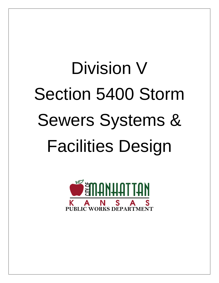# Division V Section 5400 Storm Sewers Systems & Facilities Design

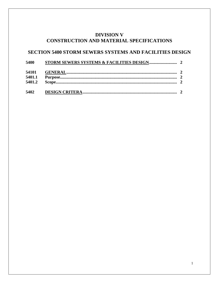# **DIVISION V** CONSTRUCTION AND MATERIAL SPECIFICATIONS

## SECTION 5400 STORM SEWERS SYSTEMS AND FACILITIES DESIGN

| 5400   |  |
|--------|--|
| 54101  |  |
| 5401.1 |  |
| 5401.2 |  |
| 5402   |  |